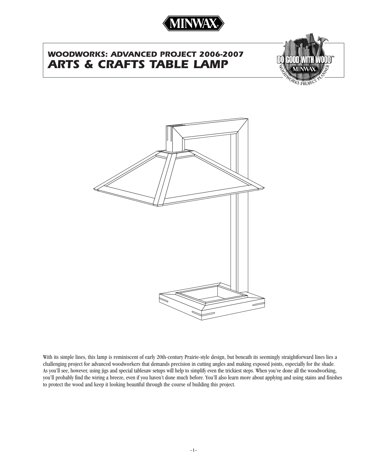

# *WOODWORKS: ADVANCED PROJECT 2006-2007 ARTS & CRAFTS TABLE LAMP*





With its simple lines, this lamp is reminiscent of early 20th-century Prairie-style design, but beneath its seemingly straightforward lines lies a challenging project for advanced woodworkers that demands precision in cutting angles and making exposed joints, especially for the shade. As you'll see, however, using jigs and special tablesaw setups will help to simplify even the trickiest steps. When you've done all the woodworking, you'll probably find the wiring a breeze, even if you haven't done much before. You'll also learn more about applying and using stains and finishes to protect the wood and keep it looking beautiful through the course of building this project.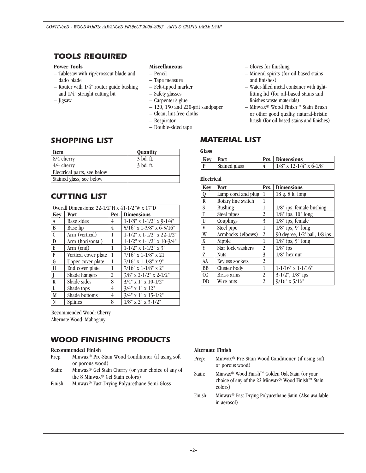### *TOOLS REQUIRED*

#### **Power Tools**

- Tablesaw with rip/crosscut blade and dado blade
- Router with 1/4" router guide bushing and 1/4" straight cutting bit
- Jigsaw

#### **Miscellaneous**

- Pencil
- Tape measure
- Felt-tipped marker
- Safety glasses
- Carpenter's glue
- 120, 150 and 220-grit sandpaper
- Clean, lint-free cloths
- Respirator
- Double-sided tape

### *SHOPPING LIST*

| <b>Item</b>                 | <b>Quantity</b> |
|-----------------------------|-----------------|
| 8/4 cherry                  | 3 bd. ft.       |
| 4/4 cherry                  | 3 bd. ft.       |
| Electrical parts, see below |                 |
| Stained glass, see below    |                 |

### *CUTTING LIST*

| Overall Dimensions: $22-1/2$ "H x $41-1/2$ "W x $17$ "D |                      |      |                                          |
|---------------------------------------------------------|----------------------|------|------------------------------------------|
| Key                                                     | Part                 | Pcs. | <b>Dimensions</b>                        |
| A                                                       | <b>Base sides</b>    | 4    | $1-1/8$ " x $1-1/2$ " x $9-1/4$ "        |
| B                                                       | Base lip             | 4    | 5/16" x 1-3/8" x 6-5/16"                 |
| $\overline{\mathfrak{c}}$                               | Arm (vertical)       | 1    | $1 - 1/2$ " x $1 - 1/2$ " x $22 - 1/2$ " |
| $\overline{\text{D}}$                                   | Arm (horizontal)     | 1    | $1-1/2$ " x $1-1/2$ " x $10-3/4$ "       |
| E                                                       | Arm (end)            | 1    | $1 - 1/2$ " x $1 - 1/2$ " x $3$ "        |
| F                                                       | Vertical cover plate | 1    | $7/16$ " x 1-1/8" x 21"                  |
| G                                                       | Upper cover plate    | 1    | $7/16$ " x 1-1/8" x 9"                   |
| H                                                       | End cover plate      | 1    | $7/16$ " x 1-1/8" x 2"                   |
| Ī                                                       | Shade hangers        | 2    | $3/8$ " x 2-1/2" x 2-1/2"                |
| K                                                       | Shade sides          | 8    | $3/4$ " x 1" x 10-1/2"                   |
| L                                                       | Shade tops           | 4    | $3/4$ " x 1" x 12"                       |
| M                                                       | Shade bottoms        | 4    | $3/4$ " x 1" x 15-1/2"                   |
| N                                                       | <b>Splines</b>       | 8    | $1/8$ " x 2" x 3-1/2"                    |

Recommended Wood: Cherry Alternate Wood: Mahogany

### *WOOD FINISHING PRODUCTS*

#### **Recommended Finish**

- Prep: Minwax® Pre-Stain Wood Conditioner (if using soft or porous wood)
- Stain: Minwax® Gel Stain Cherry (or your choice of any of the 8 Minwax® Gel Stain colors)
- Finish: Minwax® Fast-Drying Polyurethane Semi-Gloss
- Gloves for finishing
- Mineral spirits (for oil-based stains and finishes)
- Water-filled metal container with tightfitting lid (for oil-based stains and finishes waste materials)
- Minwax® Wood Finish™ Stain Brush or other good quality, natural-bristle brush (for oil-based stains and finishes)

### *MATERIAL LIST*

#### **Glass**

| $ $ Kev $ $ | Part          | <b>Pcs.</b> Dimensions     |
|-------------|---------------|----------------------------|
|             | Stained glass | $1/8$ " x 12-1/4" x 6-1/8" |

#### **Electrical**

| Key                     | Part               | Pcs.           | <b>Dimensions</b>             |
|-------------------------|--------------------|----------------|-------------------------------|
| $\overline{Q}$          | Lamp cord and plug | 1              | 18 g. 8 ft. long              |
| $\overline{\mathbf{R}}$ | Rotary line switch | 1              |                               |
| S                       | <b>Bushing</b>     | 1              | 1/8" ips, female bushing      |
| T                       | Steel pipes        | 2              | $1/8$ " ips, $10$ " long      |
| $\overline{U}$          | Couplings          | 3              | 1/8" ips, female              |
| V                       | Steel pipe         | 1              | $1/8$ " ips, 9" long          |
| W                       | Armbacks (elbows)  | $\overline{2}$ | 90 degree, 1/2' ball, 1/8 ips |
| X                       | Nipple             | 1              | $1/8$ " ips, 5" long          |
| Y                       | Star lock washers  | 2              | $1/8$ " ips                   |
| Z                       | <b>Nuts</b>        | 3              | $1/8$ " hex nut               |
| AA                      | Keyless sockets    | 2              |                               |
| <b>BB</b>               | Cluster body       | 1              | $1-1/16$ " x $1-1/16$ "       |
| CC                      | Brass arms         | 2              | $3-1/2$ ", $1/8$ " ips        |
| DD                      | Wire nuts          | $\overline{2}$ | $9/16$ " x $5/16$ "           |

#### **Alternate Finish**

- Prep: Minwax® Pre-Stain Wood Conditioner (if using soft or porous wood)
- Stain: Minwax® Wood Finish™ Golden Oak Stain (or your choice of any of the 22 Minwax® Wood Finish™ Stain colors)
- Finish: Minwax® Fast-Drying Polyurethane Satin (Also available in aerosol)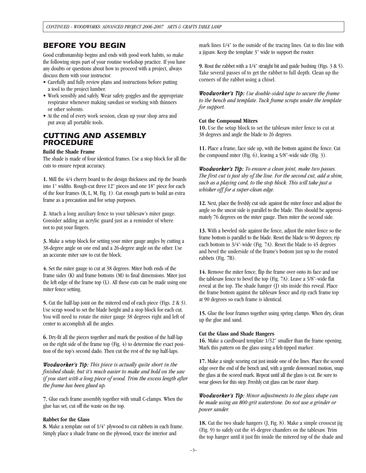### *BEFORE YOU BEGIN*

Good craftsmanship begins and ends with good work habits, so make the following steps part of your routine workshop practice. If you have any doubts or questions about how to proceed with a project, always discuss them with your instructor.

- Carefully and fully review plans and instructions before putting a tool to the project lumber.
- Work sensibly and safely. Wear safety goggles and the appropriate respirator whenever making sawdust or working with thinners or other solvents.
- At the end of every work session, clean up your shop area and put away all portable tools.

### *CUTTING AND ASSEMBLY PROCEDURE*

#### **Build the Shade Frame**

The shade is made of four identical frames. Use a stop block for all the cuts to ensure repeat accuracy.

**1.** Mill the 4/4 cherry board to the design thickness and rip the boards into 1" widths. Rough-cut three 12" pieces and one 18" piece for each of the four frames (K, L, M, Fig. 1). Cut enough parts to build an extra frame as a precaution and for setup purposes.

**2.** Attach a long auxiliary fence to your tablesaw's miter gauge. Consider adding an acrylic guard just as a reminder of where not to put your fingers.

**3.** Make a setup block for setting your miter gauge angles by cutting a 38-degree angle on one end and a 26-degree angle on the other. Use an accurate miter saw to cut the block.

**4.** Set the miter gauge to cut at 38 degrees. Miter both ends of the frame sides (K) and frame bottoms (M) to final dimensions. Miter just the left edge of the frame top (L). All these cuts can be made using one miter fence setting.

**5.** Cut the half-lap joint on the mitered end of each piece (Figs. 2 & 3). Use scrap wood to set the blade height and a stop block for each cut. You will need to rotate the miter gauge 38 degrees right and left of center to accomplish all the angles.

**6.** Dry-fit all the pieces together and mark the position of the half-lap on the right side of the frame top (Fig. 4) to determine the exact position of the top's second dado. Then cut the rest of the top half-laps.

*Woodworker's Tip: This piece is actually quite short in the finished shade, but it's much easier to make and hold on the saw if you start with a long piece of wood. Trim the excess length after the frame has been glued up.*

**7.** Glue each frame assembly together with small C-clamps. When the glue has set, cut off the waste on the top.

#### **Rabbet for the Glass**

**8.** Make a template out of 1/4" plywood to cut rabbets in each frame. Simply place a shade frame on the plywood, trace the interior and

mark lines 1/4" to the outside of the tracing lines. Cut to this line with a jigsaw. Keep the template 3" wide to support the router.

**9.** Rout the rabbet with a 1/4" straight bit and guide bushing (Figs. 3 & 5). Take several passes of to get the rabbet to full depth. Clean up the corners of the rabbet using a chisel.

*Woodworker's Tip: Use double-sided tape to secure the frame to the bench and template. Tuck frame scraps under the template for support.*

#### **Cut the Compound Miters**

**10.** Use the setup block to set the tablesaw miter fence to cut at 38 degrees and angle the blade to 26 degrees.

**11.** Place a frame, face side up, with the bottom against the fence. Cut the compound miter (Fig. 6), leaving a 5/8"-wide side (Fig. 3).

*Woodworker's Tip: To ensure a clean joint, make two passes. The first cut is just shy of the line. For the second cut, add a shim, such as a playing card, to the stop block. This will take just a whisker off for a super-clean edge.* 

**12.** Next, place the freshly cut side against the miter fence and adjust the angle so the uncut side is parallel to the blade. This should be approximately 76 degrees on the miter gauge. Then miter the second side.

**13.** With a beveled side against the fence, adjust the miter fence so the frame bottom is parallel to the blade. Reset the blade to 90 degrees; rip each bottom to 3/4"-wide (Fig. 7A). Reset the blade to 45 degrees and bevel the underside of the frame's bottom just up to the routed rabbets (Fig. 7B).

**14.** Remove the miter fence, flip the frame over onto its face and use the tablesaw fence to bevel the top (Fig. 7A). Leave a 3/8"-wide flat reveal at the top. The shade hanger (J) sits inside this reveal. Place the frame bottom against the tablesaw fence and rip each frame top at 90 degrees so each frame is identical.

**15.** Glue the four frames together using spring clamps. When dry, clean up the glue and sand.

#### **Cut the Glass and Shade Hangers**

**16.** Make a cardboard template 1/32" smaller than the frame opening. Mark this pattern on the glass using a felt-tipped marker.

**17.** Make a single scoring cut just inside one of the lines. Place the scored edge over the end of the bench and, with a gentle downward motion, snap the glass at the scored mark. Repeat until all the glass is cut. Be sure to wear gloves for this step. Freshly cut glass can be razor sharp.

*Woodworker's Tip: Minor adjustments to the glass shape can be made using an 800-grit waterstone. Do not use a grinder or power sander.* 

**18.** Cut the two shade hangers (J, Fig. 8). Make a simple crosscut jig (Fig. 9) to safely cut the 45-degree chamfers on the tablesaw. Trim the top hanger until it just fits inside the mitered top of the shade and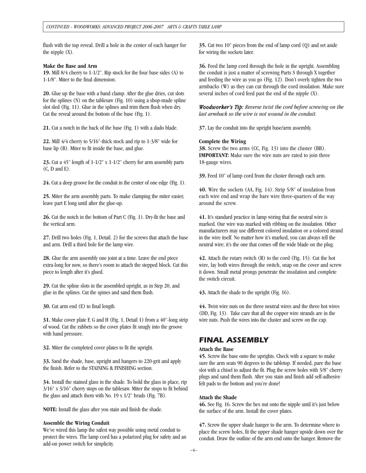flush with the top reveal. Drill a hole in the center of each hanger for the nipple  $(X)$ .

#### **Make the Base and Arm**

**19.** Mill 8/4 cherry to 1-1/2". Rip stock for the four base sides (A) to 1-1/8". Miter to the final dimension.

**20.** Glue up the base with a band clamp. After the glue dries, cut slots for the splines (N) on the tablesaw (Fig. 10) using a shop-made spline slot sled (Fig. 11). Glue in the splines and trim them flush when dry. Cut the reveal around the bottom of the base (Fig. 1).

**21.** Cut a notch in the back of the base (Fig. 1) with a dado blade.

**22.** Mill 4/4 cherry to 5/16"-thick stock and rip to 1-3/8" wide for base lip (B). Miter to fit inside the base, and glue.

**23.** Cut a 45" length of 1-1/2" x 1-1/2" cherry for arm assembly parts (C, D and E).

**24.** Cut a deep groove for the conduit in the center of one edge (Fig. 1).

**25.** Miter the arm assembly parts. To make clamping the miter easier, leave part E long until after the glue-up.

**26.** Cut the notch in the bottom of Part C (Fig. 1). Dry-fit the base and the vertical arm.

**27.** Drill two holes (Fig. 1, Detail. 2) for the screws that attach the base and arm. Drill a third hole for the lamp wire.

**28.** Glue the arm assembly one joint at a time. Leave the end piece extra-long for now, so there's room to attach the stepped block. Cut this piece to length after it's glued.

**29.** Cut the spline slots in the assembled upright, as in Step 20, and glue in the splines. Cut the spines and sand them flush.

**30.** Cut arm end (E) to final length.

**31.** Make cover plate F, G and H (Fig. 1, Detail 1) from a 40"-long strip of wood. Cut the rabbets so the cover plates fit snugly into the groove with hand pressure.

**32.** Miter the completed cover plates to fit the upright.

**33.** Sand the shade, base, upright and hangers to 220-grit and apply the finish. Refer to the STAINING & FINISHING section.

**34.** Install the stained glass in the shade. To hold the glass in place, rip 3/16" x 3/16" cherry stops on the tablesaw. Miter the stops to fit behind the glass and attach them with No. 19 x 1/2" brads (Fig. 7B).

**NOTE:** Install the glass after you stain and finish the shade.

#### **Assemble the Wiring Conduit**

We've wired this lamp the safest way possible using metal conduit to protect the wires. The lamp cord has a polarized plug for safety and an add-on power switch for simplicity.

**35.** Cut two 10" pieces from the end of lamp cord (Q) and set aside for wiring the sockets later.

**36.** Feed the lamp cord through the hole in the upright. Assembling the conduit is just a matter of screwing Parts S through X together and feeding the wire as you go (Fig. 12). Don't overly tighten the two armbacks (W) as they can cut through the cord insulation. Make sure several inches of cord feed past the end of the nipple (X).

*Woodworker's Tip: Reverse twist the cord before screwing on the last armback so the wire is not wound in the conduit.* 

**37.** Lay the conduit into the upright base/arm assembly.

#### **Complete the Wiring**

**38.** Screw the two arms (CC, Fig. 13) into the cluster (BB). **IMPORTANT:** Make sure the wire nuts are rated to join three 18-gauge wires.

**39.** Feed 10" of lamp cord from the cluster through each arm.

**40.** Wire the sockets (AA, Fig. 14). Strip 5/8" of insulation from each wire end and wrap the bare wire three-quarters of the way around the screw.

**41.** It's standard practice in lamp wiring that the neutral wire is marked. Our wire was marked with ribbing on the insulation. Other manufacturers may use different colored insulation or a colored strand in the wire itself. No matter how it's marked, you can always tell the neutral wire; it's the one that comes off the wide blade on the plug.

**42.** Attach the rotary switch (R) to the cord (Fig. 15). Cut the hot wire, lay both wires through the switch, snap on the cover and screw it down. Small metal prongs penetrate the insulation and complete the switch circuit.

**43.** Attach the shade to the upright (Fig. 16).

**44.** Twist wire nuts on the three neutral wires and the three hot wires (DD, Fig. 13). Take care that all the copper wire strands are in the wire nuts. Push the wires into the cluster and screw on the cap.

### *FINAL ASSEMBLY*

#### **Attach the Base**

**45.** Screw the base onto the uprights. Check with a square to make sure the arm seats 90 degrees to the tabletop. If needed, pare the base slot with a chisel to adjust the fit. Plug the screw holes with 3/8" cherry plugs and sand them flush. After you stain and finish add self-adhesive felt pads to the bottom and you're done!

#### **Attach the Shade**

**46.** See Fig. 16. Screw the hex nut onto the nipple until it's just below the surface of the arm. Install the cover plates.

**47.** Screw the upper shade hanger to the arm. To determine where to place the screw holes, fit the upper shade hanger upside down over the conduit. Draw the outline of the arm end onto the hanger. Remove the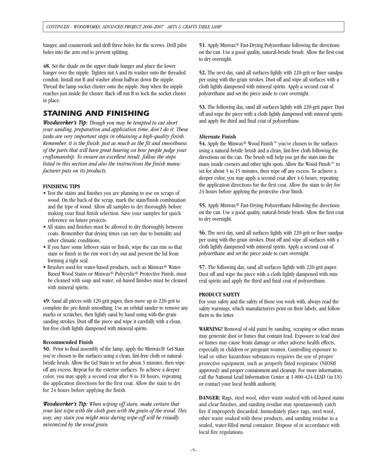hanger, and countersink and drill three holes for the screws. Drill pilot holes into the arm end to prevent splitting.

**48.** Set the shade on the upper shade hanger and place the lower hanger over the nipple. Tighten nut A and its washer onto the threaded conduit. Install nut B and washer about halfway down the nipple. Thread the lamp socket cluster onto the nipple. Stop when the nipple reaches just inside the cluster. Back off nut B to lock the socket cluster in place.

### *STAINING AND FINISHING*

*Woodworker's Tip: Though you may be tempted to cut short your sanding, preparation and application time, don't do it. These tasks are very important steps in obtaining a high-quality finish. Remember, it is the finish, just as much as the fit and smoothness of the parts that will have great bearing on how people judge your craftsmanship. To ensure an excellent result, follow the steps listed in this section and also the instructions the finish manufacturer puts on its products.*

#### **FINISHING TIPS**

- Test the stains and finishes you are planning to use on scraps of wood. On the back of the scrap, mark the stain/finish combination and the type of wood. Allow all samples to dry thoroughly before making your final finish selection. Save your samples for quick reference on future projects.
- All stains and finishes must be allowed to dry thoroughly between coats. Remember that drying times can vary due to humidity and other climatic conditions.
- If you have some leftover stain or finish, wipe the can rim so that stain or finish in the rim won't dry out and prevent the lid from forming a tight seal.
- Brushes used for water-based products, such as Minwax® Water-Based Wood Stains or Minwax® Polycrylic® Protective Finish, must be cleaned with soap and water; oil-based finishes must be cleaned with mineral spirits.

**49.** Sand all pieces with 120-grit paper, then move up to 220-grit to complete the pre-finish smoothing. Use an orbital sander to remove any marks or scratches, then lightly sand by hand using with-the-grain sanding strokes. Dust off the piece and wipe it carefully with a clean, lint-free cloth lightly dampened with mineral spirits.

#### **Recommended Finish**

**50.** Prior to final assembly of the lamp, apply the Minwax® Gel Stain you've chosen to the surfaces using a clean, lint-free cloth or naturalbristle brush. Allow the Gel Stain to set for about 3 minutes, then wipe off any excess. Repeat for the exterior surfaces. To achieve a deeper color, you may apply a second coat after 8 to 10 hours, repeating the application directions for the first coat. Allow the stain to dry for 24 hours before applying the finish.

*Woodworker's Tip: When wiping off stain, make certain that your last wipe with the cloth goes with the grain of the wood. This way, any stain you might miss during wipe-off will be visually minimized by the wood grain.*

**51.** Apply Minwax® Fast-Drying Polyurethane following the directions on the can. Use a good quality, natural-bristle brush. Allow the first coat to dry overnight.

**52.** The next day, sand all surfaces lightly with 220-grit or finer sandpaper using with-the-grain strokes. Dust off and wipe all surfaces with a cloth lightly dampened with mineral spirits. Apply a second coat of polyurethane and set the piece aside to cure overnight.

**53.** The following day, sand all surfaces lightly with 220-grit paper. Dust off and wipe the piece with a cloth lightly dampened with mineral spirits and apply the third and final coat of polyurethane.

#### **Alternate Finish**

**54.** Apply the Minwax® Wood Finish™ you've chosen to the surfaces using a natural-bristle brush and a clean, lint-free cloth following the directions on the can. The brush will help you get the stain into the many inside corners and other tight spots. Allow the Wood Finish™ to set for about 5 to 15 minutes, then wipe off any excess. To achieve a deeper color, you may apply a second coat after 4-6 hours, repeating the application directions for the first coat. Allow the stain to dry for 24 hours before applying the protective clear finish.

**55.** Apply Minwax® Fast-Drying Polyurethane following the directions on the can. Use a good quality, natural-bristle brush. Allow the first coat to dry overnight.

**56.** The next day, sand all surfaces lightly with 220-grit or finer sandpaper using with-the-grain strokes. Dust off and wipe all surfaces with a cloth lightly dampened with mineral spirits. Apply a second coat of polyurethane and set the piece aside to cure overnight.

**57.** The following day, sand all surfaces lightly with 220-grit paper. Dust off and wipe the piece with a cloth lightly dampened with mineral spirits and apply the third and final coat of polyurethane.

#### **PRODUCT SAFETY**

For your safety and the safety of those you work with, always read the safety warnings, which manufacturers print on their labels, and follow them to the letter.

**WARNING!** Removal of old paint by sanding, scraping or other means may generate dust or fumes that contain lead. Exposure to lead dust or fumes may cause brain damage or other adverse health effects, especially in children or pregnant women. Controlling exposure to lead or other hazardous substances requires the use of proper protective equipment, such as properly fitted respirator (NIOSH approved) and proper containment and cleanup. For more information, call the National Lead Information Center at 1-800-424-LEAD (in US) or contact your local health authority.

**DANGER:** Rags, steel wool, other waste soaked with oil-based stains and clear finishes, and sanding residue may spontaneously catch fire if improperly discarded. Immediately place rags, steel wool, other waste soaked with these products, and sanding residue in a sealed, water-filled metal container. Dispose of in accordance with local fire regulations.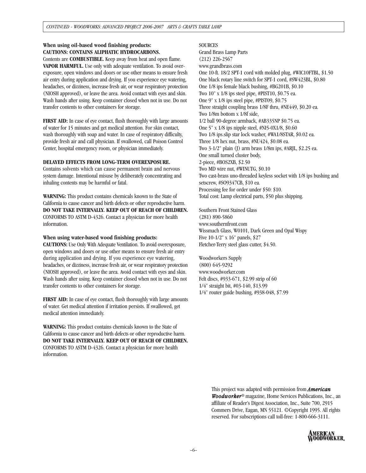### **When using oil-based wood finishing products: CAUTIONS: CONTAINS ALIPHATIC HYDROCARBONS.**

Contents are **COMBUSTIBLE.** Keep away from heat and open flame. **VAPOR HARMFUL.** Use only with adequate ventilation. To avoid overexposure, open windows and doors or use other means to ensure fresh air entry during application and drying. If you experience eye watering, headaches, or dizziness, increase fresh air, or wear respiratory protection (NIOSH approved), or leave the area. Avoid contact with eyes and skin. Wash hands after using. Keep container closed when not in use. Do not transfer contents to other containers for storage.

**FIRST AID:** In case of eye contact, flush thoroughly with large amounts of water for 15 minutes and get medical attention. For skin contact, wash thoroughly with soap and water. In case of respiratory difficulty, provide fresh air and call physician. If swallowed, call Poison Control Center, hospital emergency room, or physician immediately.

#### **DELAYED EFFECTS FROM LONG-TERM OVEREXPOSURE.**

Contains solvents which can cause permanent brain and nervous system damage. Intentional misuse by deliberately concentrating and inhaling contents may be harmful or fatal.

**WARNING:** This product contains chemicals known to the State of California to cause cancer and birth defects or other reproductive harm. **DO NOT TAKE INTERNALLY. KEEP OUT OF REACH OF CHILDREN.** CONFORMS TO ASTM D-4326. Contact a physician for more health information.

#### **When using water-based wood finishing products:**

**CAUTIONS:** Use Only With Adequate Ventilation. To avoid overexposure, open windows and doors or use other means to ensure fresh air entry during application and drying. If you experience eye watering, headaches, or dizziness, increase fresh air, or wear respiratory protection (NIOSH approved), or leave the area. Avoid contact with eyes and skin. Wash hands after using. Keep container closed when not in use. Do not transfer contents to other containers for storage.

**FIRST AID:** In case of eye contact, flush thoroughly with large amounts of water. Get medical attention if irritation persists. If swallowed, get medical attention immediately.

**WARNING:** This product contains chemicals known to the State of California to cause cancer and birth defects or other reproductive harm. **DO NOT TAKE INTERNALLY. KEEP OUT OF REACH OF CHILDREN.** CONFORMS TO ASTM D-4326. Contact a physician for more health information.

#### **SOURCES**

Grand Brass Lamp Parts (212) 226-2567 www.grandbrass.com One 10-ft. 18/2 SPT-1 cord with molded plug, #WIC10FTBL, \$1.50 One black rotary line switch for SPT-1 cord, #SW423BL, \$0.80 One 1/8 ips female black bushing, #BG201B, \$0.10 Two 10" x 1/8 ips steel pipe, #PIST10, \$0.75 ea. One 9" x 1/8 ips steel pipe, #PIST09, \$0.75 Three straight coupling brass 1/8F thru, #NE449, \$0.20 ea. Two 1/8m bottom x 1/8f side, 1/2 ball 90-degree armback, #AB335NP \$0.75 ea. One 5" x 1/8 ips nipple steel, #NI5-0X1/8, \$0.60 Two 1/8 ips.slip star lock washer, #WA1/8STAR, \$0.02 ea. Three 1/8 hex nut, brass, #NU424, \$0.08 ea. Two 3-1/2" plain (J) arm brass 1/8m ips, #ARJL, \$2.25 ea. One small turned cluster body, 2-piece, #BOS2XB, \$2.50 Two MD wire nut, #WINUTG, \$0.10 Two cast-brass uno-threaded keyless socket with 1/8 ips bushing and setscrew, #SO9347CB, \$10 ea. Processing fee for order under \$50: \$10. Total cost: Lamp electrical parts, \$50 plus shipping.

Southern Front Stained Glass (281) 890-5860 www.southernfront.com Wissmach Glass, W0101, Dark Green and Opal Wispy Five 10-1/2" x 16" panels, \$27 Fletcher-Terry steel glass cutter, \$4.50.

Woodworkers Supply (800) 645-9292 www.woodworker.com Felt discs, #933-671, \$2.99 strip of 60 1/4" straight bit, #03-140, \$13.99 1/4" router guide bushing, #938-048, \$7.99

> This project was adapted with permission from *American Woodworker*® magazine, Home Services Publications, Inc., an affiliate of Reader's Digest Association, Inc., Suite 700, 2915 Commers Drive, Eagan, MN 55121. ©Copyright 1995. All rights reserved. For subscriptions call toll-free: 1-800-666-3111.

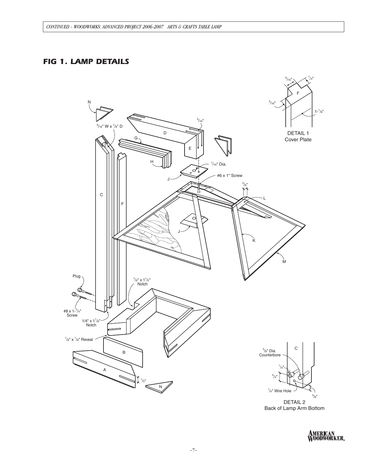## *FIG 1. LAMP DETAILS*



DETAIL 2 Back of Lamp Arm Bottom

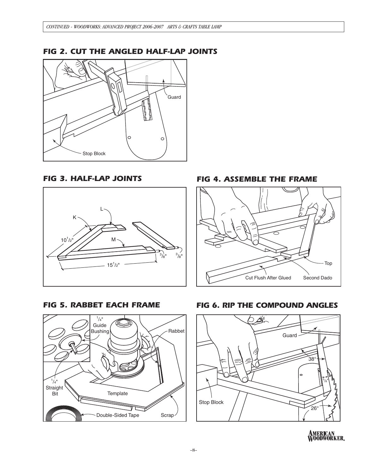### *FIG 2. CUT THE ANGLED HALF-LAP JOINTS*



*FIG 3. HALF-LAP JOINTS*





*FIG 4. ASSEMBLE THE FRAME*







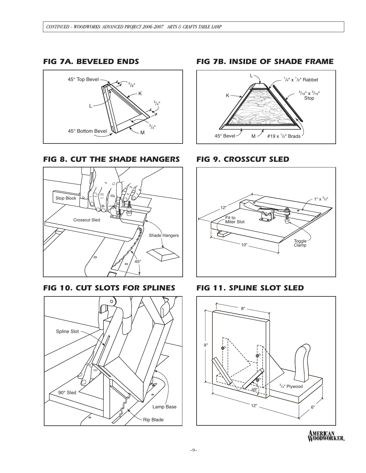### *FIG 7A. BEVELED ENDS*



### *FIG 8. CUT THE SHADE HANGERS*



*FIG 10. CUT SLOTS FOR SPLINES*



### *FIG 7B. INSIDE OF SHADE FRAME*



### *FIG 9. CROSSCUT SLED*



### *FIG 11. SPLINE SLOT SLED*



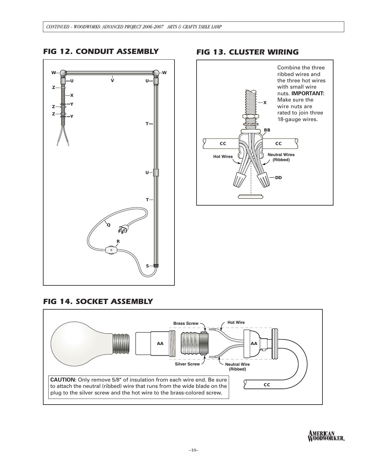

## *FIG 13. CLUSTER WIRING*



## *FIG 14. SOCKET ASSEMBLY*